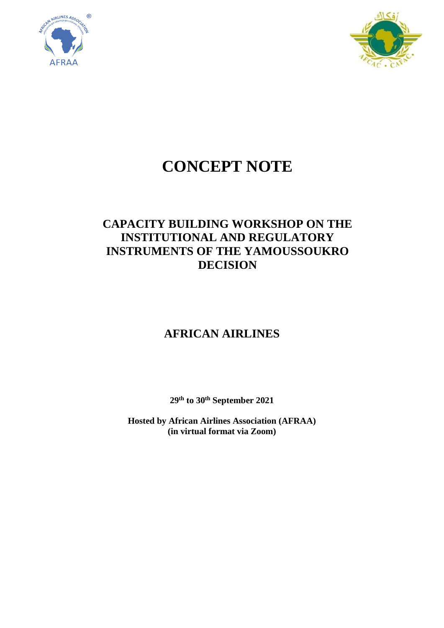



# **CONCEPT NOTE**

# **CAPACITY BUILDING WORKSHOP ON THE INSTITUTIONAL AND REGULATORY INSTRUMENTS OF THE YAMOUSSOUKRO DECISION**

# **AFRICAN AIRLINES**

**29th to 30th September 2021**

**Hosted by African Airlines Association (AFRAA) (in virtual format via Zoom)**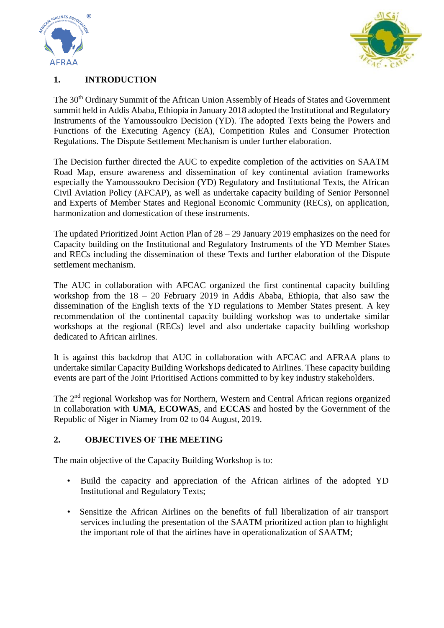



### **1. INTRODUCTION**

The 30<sup>th</sup> Ordinary Summit of the African Union Assembly of Heads of States and Government summit held in Addis Ababa, Ethiopia in January 2018 adopted the Institutional and Regulatory Instruments of the Yamoussoukro Decision (YD). The adopted Texts being the Powers and Functions of the Executing Agency (EA), Competition Rules and Consumer Protection Regulations. The Dispute Settlement Mechanism is under further elaboration.

The Decision further directed the AUC to expedite completion of the activities on SAATM Road Map, ensure awareness and dissemination of key continental aviation frameworks especially the Yamoussoukro Decision (YD) Regulatory and Institutional Texts, the African Civil Aviation Policy (AFCAP), as well as undertake capacity building of Senior Personnel and Experts of Member States and Regional Economic Community (RECs), on application, harmonization and domestication of these instruments.

The updated Prioritized Joint Action Plan of 28 – 29 January 2019 emphasizes on the need for Capacity building on the Institutional and Regulatory Instruments of the YD Member States and RECs including the dissemination of these Texts and further elaboration of the Dispute settlement mechanism.

The AUC in collaboration with AFCAC organized the first continental capacity building workshop from the 18 – 20 February 2019 in Addis Ababa, Ethiopia, that also saw the dissemination of the English texts of the YD regulations to Member States present. A key recommendation of the continental capacity building workshop was to undertake similar workshops at the regional (RECs) level and also undertake capacity building workshop dedicated to African airlines.

It is against this backdrop that AUC in collaboration with AFCAC and AFRAA plans to undertake similar Capacity Building Workshops dedicated to Airlines. These capacity building events are part of the Joint Prioritised Actions committed to by key industry stakeholders.

The 2nd regional Workshop was for Northern, Western and Central African regions organized in collaboration with **UMA**, **ECOWAS**, and **ECCAS** and hosted by the Government of the Republic of Niger in Niamey from 02 to 04 August, 2019.

#### **2. OBJECTIVES OF THE MEETING**

The main objective of the Capacity Building Workshop is to:

- Build the capacity and appreciation of the African airlines of the adopted YD Institutional and Regulatory Texts;
- Sensitize the African Airlines on the benefits of full liberalization of air transport services including the presentation of the SAATM prioritized action plan to highlight the important role of that the airlines have in operationalization of SAATM;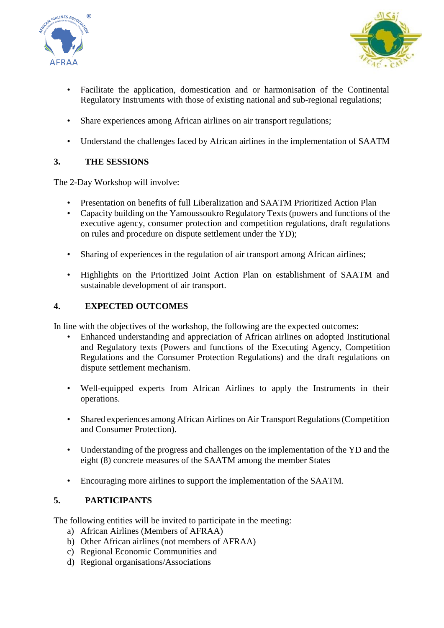



- Facilitate the application, domestication and or harmonisation of the Continental Regulatory Instruments with those of existing national and sub-regional regulations;
- Share experiences among African airlines on air transport regulations;
- Understand the challenges faced by African airlines in the implementation of SAATM

## **3. THE SESSIONS**

The 2-Day Workshop will involve:

- Presentation on benefits of full Liberalization and SAATM Prioritized Action Plan
- Capacity building on the Yamoussoukro Regulatory Texts (powers and functions of the executive agency, consumer protection and competition regulations, draft regulations on rules and procedure on dispute settlement under the YD);
- Sharing of experiences in the regulation of air transport among African airlines;
- Highlights on the Prioritized Joint Action Plan on establishment of SAATM and sustainable development of air transport.

### **4. EXPECTED OUTCOMES**

In line with the objectives of the workshop, the following are the expected outcomes:

- Enhanced understanding and appreciation of African airlines on adopted Institutional and Regulatory texts (Powers and functions of the Executing Agency, Competition Regulations and the Consumer Protection Regulations) and the draft regulations on dispute settlement mechanism.
- Well-equipped experts from African Airlines to apply the Instruments in their operations.
- Shared experiences among African Airlines on Air Transport Regulations (Competition and Consumer Protection).
- Understanding of the progress and challenges on the implementation of the YD and the eight (8) concrete measures of the SAATM among the member States
- Encouraging more airlines to support the implementation of the SAATM.

### **5. PARTICIPANTS**

The following entities will be invited to participate in the meeting:

- a) African Airlines (Members of AFRAA)
- b) Other African airlines (not members of AFRAA)
- c) Regional Economic Communities and
- d) Regional organisations/Associations